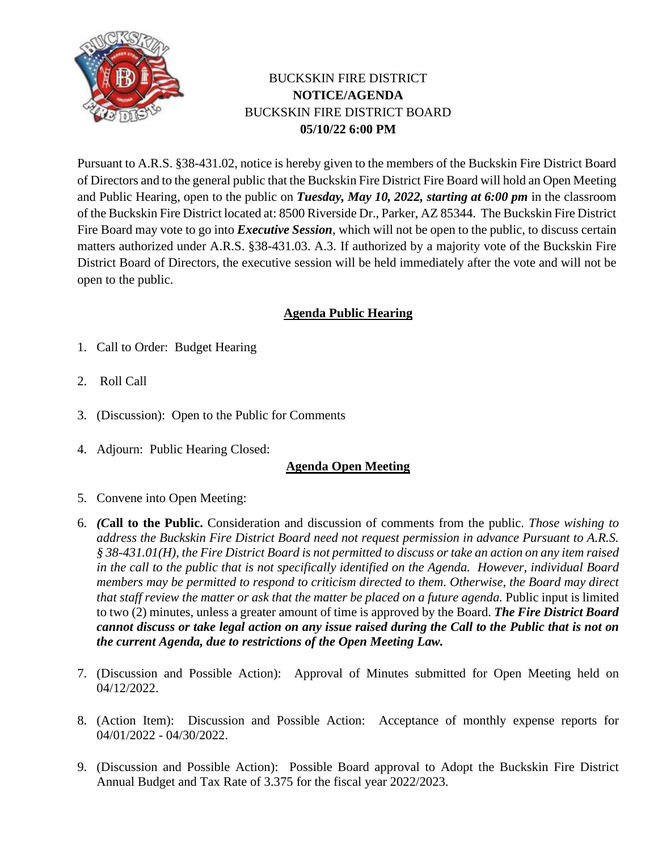

## BUCKSKIN FIRE DISTRICT **NOTICE/AGENDA** BUCKSKIN FIRE DISTRICT BOARD **05/10/22 6:00 PM**

Pursuant to A.R.S. §38-431.02, notice is hereby given to the members of the Buckskin Fire District Board of Directors and to the general public that the Buckskin Fire District Fire Board will hold an Open Meeting and Public Hearing, open to the public on *Tuesday, May 10, 2022, starting at 6:00 pm* in the classroom of the Buckskin Fire District located at: 8500 Riverside Dr., Parker, AZ 85344. The Buckskin Fire District Fire Board may vote to go into *Executive Session*, which will not be open to the public, to discuss certain matters authorized under A.R.S. §38-431.03. A.3. If authorized by a majority vote of the Buckskin Fire District Board of Directors, the executive session will be held immediately after the vote and will not be open to the public.

## **Agenda Public Hearing**

- 1. Call to Order: Budget Hearing
- 2. Roll Call
- 3. (Discussion): Open to the Public for Comments
- 4. Adjourn: Public Hearing Closed:

## **Agenda Open Meeting**

- 5. Convene into Open Meeting:
- 6. *(C***all to the Public.** Consideration and discussion of comments from the public. *Those wishing to address the Buckskin Fire District Board need not request permission in advance Pursuant to A.R.S. § 38-431.01(H), the Fire District Board is not permitted to discuss or take an action on any item raised in the call to the public that is not specifically identified on the Agenda. However, individual Board members may be permitted to respond to criticism directed to them. Otherwise, the Board may direct that staff review the matter or ask that the matter be placed on a future agenda. Public input is limited* to two (2) minutes, unless a greater amount of time is approved by the Board. *The Fire District Board cannot discuss or take legal action on any issue raised during the Call to the Public that is not on the current Agenda, due to restrictions of the Open Meeting Law.*
- 7. (Discussion and Possible Action): Approval of Minutes submitted for Open Meeting held on 04/12/2022.
- 8. (Action Item): Discussion and Possible Action: Acceptance of monthly expense reports for 04/01/2022 - 04/30/2022.
- 9. (Discussion and Possible Action): Possible Board approval to Adopt the Buckskin Fire District Annual Budget and Tax Rate of 3.375 for the fiscal year 2022/2023.